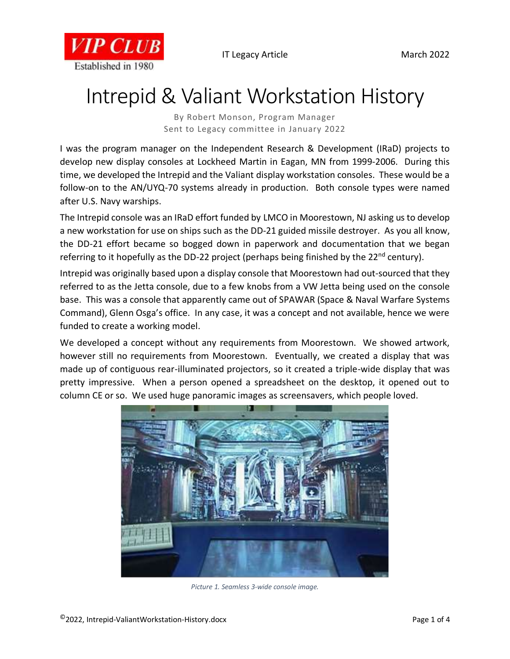



## Intrepid & Valiant Workstation History

By Robert Monson, Program Manager Sent to Legacy committee in January 2022

I was the program manager on the Independent Research & Development (IRaD) projects to develop new display consoles at Lockheed Martin in Eagan, MN from 1999-2006. During this time, we developed the Intrepid and the Valiant display workstation consoles. These would be a follow-on to the AN/UYQ-70 systems already in production. Both console types were named after U.S. Navy warships.

The Intrepid console was an IRaD effort funded by LMCO in Moorestown, NJ asking us to develop a new workstation for use on ships such as the DD-21 guided missile destroyer. As you all know, the DD-21 effort became so bogged down in paperwork and documentation that we began referring to it hopefully as the DD-22 project (perhaps being finished by the  $22^{nd}$  century).

Intrepid was originally based upon a display console that Moorestown had out-sourced that they referred to as the Jetta console, due to a few knobs from a VW Jetta being used on the console base. This was a console that apparently came out of SPAWAR (Space & Naval Warfare Systems Command), Glenn Osga's office. In any case, it was a concept and not available, hence we were funded to create a working model.

We developed a concept without any requirements from Moorestown. We showed artwork, however still no requirements from Moorestown. Eventually, we created a display that was made up of contiguous rear-illuminated projectors, so it created a triple-wide display that was pretty impressive. When a person opened a spreadsheet on the desktop, it opened out to column CE or so. We used huge panoramic images as screensavers, which people loved.



*Picture 1. Seamless 3-wide console image.*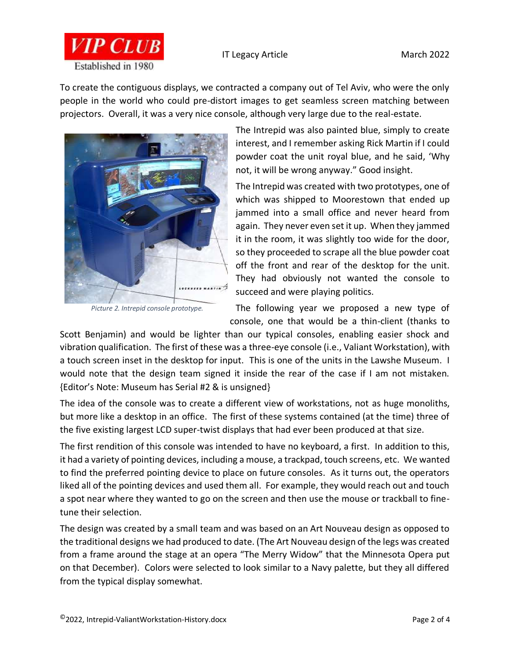



To create the contiguous displays, we contracted a company out of Tel Aviv, who were the only people in the world who could pre-distort images to get seamless screen matching between projectors. Overall, it was a very nice console, although very large due to the real-estate.



*Picture 2. Intrepid console prototype.*

The Intrepid was also painted blue, simply to create interest, and I remember asking Rick Martin if I could powder coat the unit royal blue, and he said, 'Why not, it will be wrong anyway." Good insight.

The Intrepid was created with two prototypes, one of which was shipped to Moorestown that ended up jammed into a small office and never heard from again. They never even set it up. When they jammed it in the room, it was slightly too wide for the door, so they proceeded to scrape all the blue powder coat off the front and rear of the desktop for the unit. They had obviously not wanted the console to succeed and were playing politics.

The following year we proposed a new type of console, one that would be a thin-client (thanks to

Scott Benjamin) and would be lighter than our typical consoles, enabling easier shock and vibration qualification. The first of these was a three-eye console (i.e., Valiant Workstation), with a touch screen inset in the desktop for input. This is one of the units in the Lawshe Museum. I would note that the design team signed it inside the rear of the case if I am not mistaken. {Editor's Note: Museum has Serial #2 & is unsigned}

The idea of the console was to create a different view of workstations, not as huge monoliths, but more like a desktop in an office. The first of these systems contained (at the time) three of the five existing largest LCD super-twist displays that had ever been produced at that size.

The first rendition of this console was intended to have no keyboard, a first. In addition to this, it had a variety of pointing devices, including a mouse, a trackpad, touch screens, etc. We wanted to find the preferred pointing device to place on future consoles. As it turns out, the operators liked all of the pointing devices and used them all. For example, they would reach out and touch a spot near where they wanted to go on the screen and then use the mouse or trackball to finetune their selection.

The design was created by a small team and was based on an Art Nouveau design as opposed to the traditional designs we had produced to date. (The Art Nouveau design of the legs was created from a frame around the stage at an opera "The Merry Widow" that the Minnesota Opera put on that December). Colors were selected to look similar to a Navy palette, but they all differed from the typical display somewhat.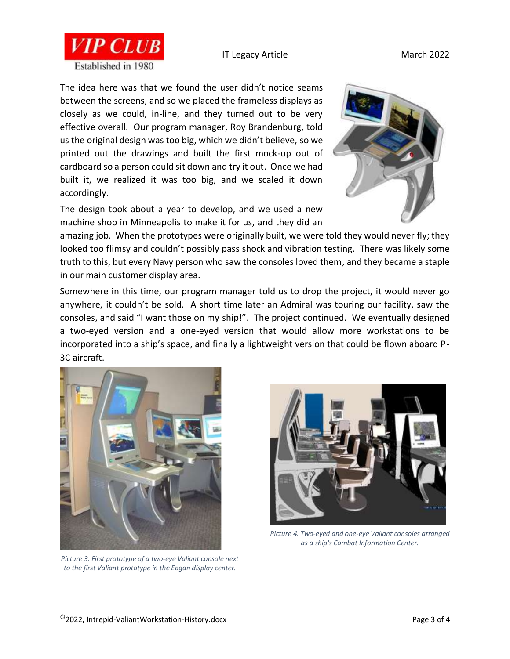## IT Legacy Article March 2022





The idea here was that we found the user didn't notice seams between the screens, and so we placed the frameless displays as closely as we could, in-line, and they turned out to be very effective overall. Our program manager, Roy Brandenburg, told us the original design was too big, which we didn't believe, so we printed out the drawings and built the first mock-up out of cardboard so a person could sit down and try it out. Once we had built it, we realized it was too big, and we scaled it down accordingly.

The design took about a year to develop, and we used a new machine shop in Minneapolis to make it for us, and they did an



amazing job. When the prototypes were originally built, we were told they would never fly; they looked too flimsy and couldn't possibly pass shock and vibration testing. There was likely some truth to this, but every Navy person who saw the consoles loved them, and they became a staple in our main customer display area.

Somewhere in this time, our program manager told us to drop the project, it would never go anywhere, it couldn't be sold. A short time later an Admiral was touring our facility, saw the consoles, and said "I want those on my ship!". The project continued. We eventually designed a two-eyed version and a one-eyed version that would allow more workstations to be incorporated into a ship's space, and finally a lightweight version that could be flown aboard P-3C aircraft.



*Picture 3. First prototype of a two-eye Valiant console next to the first Valiant prototype in the Eagan display center.*



*Picture 4. Two-eyed and one-eye Valiant consoles arranged as a ship's Combat Information Center.*